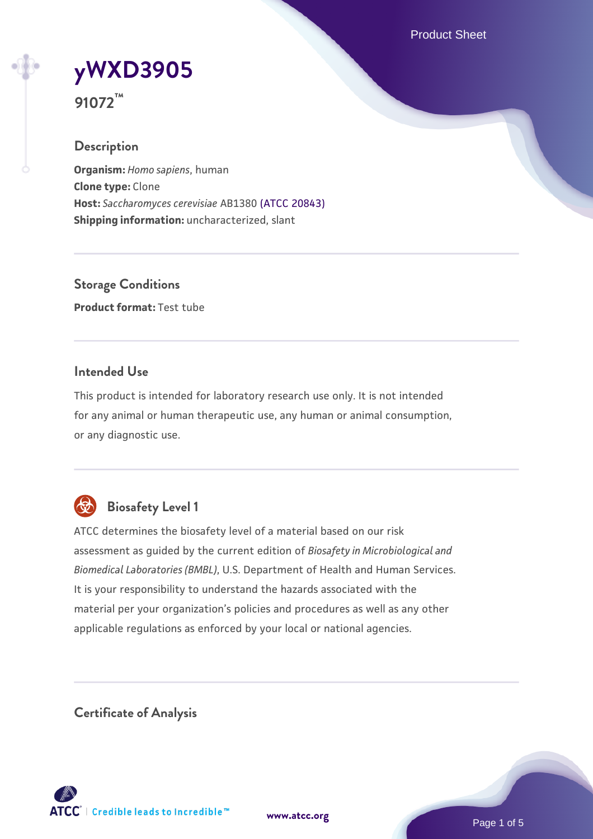Product Sheet

# **[yWXD3905](https://www.atcc.org/products/91072)**

**91072™**

# **Description**

**Organism:** *Homo sapiens*, human **Clone type:** Clone **Host:** *Saccharomyces cerevisiae* AB1380 [\(ATCC 20843\)](https://www.atcc.org/products/20843) **Shipping information:** uncharacterized, slant

**Storage Conditions Product format:** Test tube

# **Intended Use**

This product is intended for laboratory research use only. It is not intended for any animal or human therapeutic use, any human or animal consumption, or any diagnostic use.



# **Biosafety Level 1**

ATCC determines the biosafety level of a material based on our risk assessment as guided by the current edition of *Biosafety in Microbiological and Biomedical Laboratories (BMBL)*, U.S. Department of Health and Human Services. It is your responsibility to understand the hazards associated with the material per your organization's policies and procedures as well as any other applicable regulations as enforced by your local or national agencies.

**Certificate of Analysis**

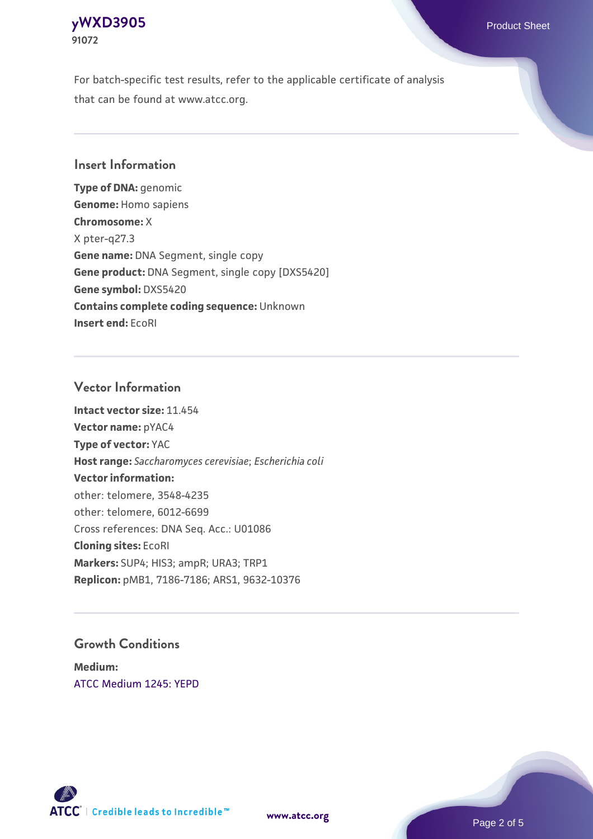For batch-specific test results, refer to the applicable certificate of analysis that can be found at www.atcc.org.

# **Insert Information**

**Type of DNA:** genomic **Genome:** Homo sapiens **Chromosome:** X X pter-q27.3 **Gene name:** DNA Segment, single copy **Gene product:** DNA Segment, single copy [DXS5420] **Gene symbol:** DXS5420 **Contains complete coding sequence:** Unknown **Insert end:** EcoRI

#### **Vector Information**

**Intact vector size:** 11.454 **Vector name:** pYAC4 **Type of vector:** YAC **Host range:** *Saccharomyces cerevisiae*; *Escherichia coli* **Vector information:** other: telomere, 3548-4235 other: telomere, 6012-6699 Cross references: DNA Seq. Acc.: U01086 **Cloning sites:** EcoRI **Markers:** SUP4; HIS3; ampR; URA3; TRP1 **Replicon:** pMB1, 7186-7186; ARS1, 9632-10376

# **Growth Conditions**

**Medium:**  [ATCC Medium 1245: YEPD](https://www.atcc.org/-/media/product-assets/documents/microbial-media-formulations/1/2/4/5/atcc-medium-1245.pdf?rev=705ca55d1b6f490a808a965d5c072196)



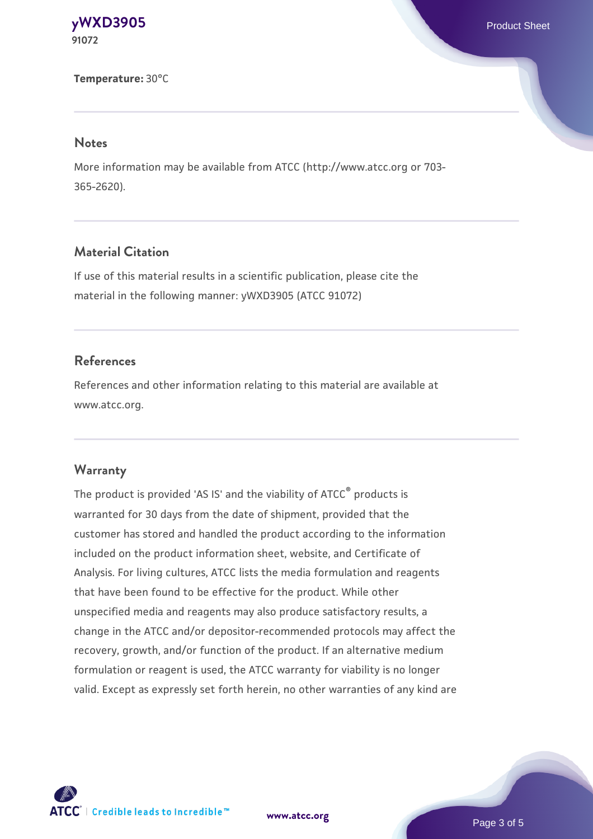#### **Temperature:** 30°C

#### **Notes**

More information may be available from ATCC (http://www.atcc.org or 703- 365-2620).

# **Material Citation**

If use of this material results in a scientific publication, please cite the material in the following manner: yWXD3905 (ATCC 91072)

#### **References**

References and other information relating to this material are available at www.atcc.org.

#### **Warranty**

The product is provided 'AS IS' and the viability of ATCC® products is warranted for 30 days from the date of shipment, provided that the customer has stored and handled the product according to the information included on the product information sheet, website, and Certificate of Analysis. For living cultures, ATCC lists the media formulation and reagents that have been found to be effective for the product. While other unspecified media and reagents may also produce satisfactory results, a change in the ATCC and/or depositor-recommended protocols may affect the recovery, growth, and/or function of the product. If an alternative medium formulation or reagent is used, the ATCC warranty for viability is no longer valid. Except as expressly set forth herein, no other warranties of any kind are



**[www.atcc.org](http://www.atcc.org)**

Page 3 of 5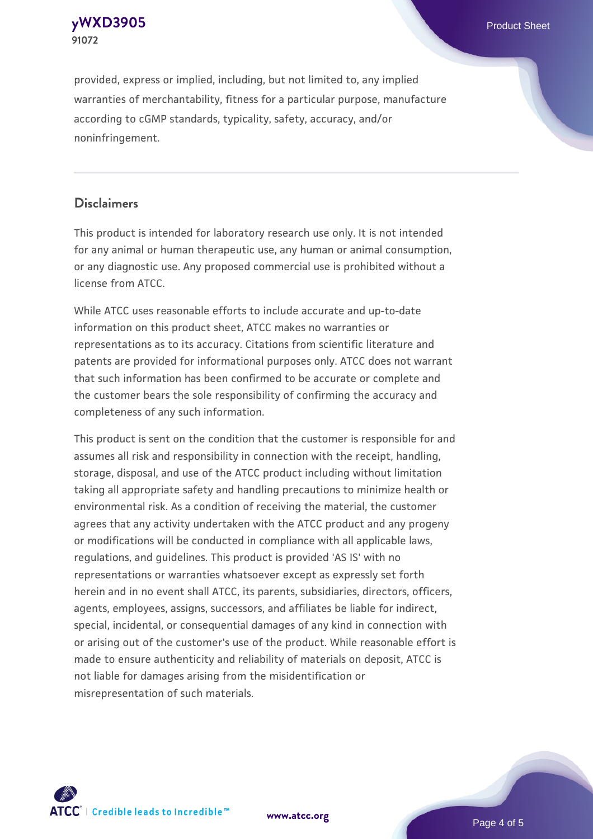provided, express or implied, including, but not limited to, any implied warranties of merchantability, fitness for a particular purpose, manufacture according to cGMP standards, typicality, safety, accuracy, and/or noninfringement.

# **Disclaimers**

This product is intended for laboratory research use only. It is not intended for any animal or human therapeutic use, any human or animal consumption, or any diagnostic use. Any proposed commercial use is prohibited without a license from ATCC.

While ATCC uses reasonable efforts to include accurate and up-to-date information on this product sheet, ATCC makes no warranties or representations as to its accuracy. Citations from scientific literature and patents are provided for informational purposes only. ATCC does not warrant that such information has been confirmed to be accurate or complete and the customer bears the sole responsibility of confirming the accuracy and completeness of any such information.

This product is sent on the condition that the customer is responsible for and assumes all risk and responsibility in connection with the receipt, handling, storage, disposal, and use of the ATCC product including without limitation taking all appropriate safety and handling precautions to minimize health or environmental risk. As a condition of receiving the material, the customer agrees that any activity undertaken with the ATCC product and any progeny or modifications will be conducted in compliance with all applicable laws, regulations, and guidelines. This product is provided 'AS IS' with no representations or warranties whatsoever except as expressly set forth herein and in no event shall ATCC, its parents, subsidiaries, directors, officers, agents, employees, assigns, successors, and affiliates be liable for indirect, special, incidental, or consequential damages of any kind in connection with or arising out of the customer's use of the product. While reasonable effort is made to ensure authenticity and reliability of materials on deposit, ATCC is not liable for damages arising from the misidentification or misrepresentation of such materials.



**[www.atcc.org](http://www.atcc.org)**

Page 4 of 5